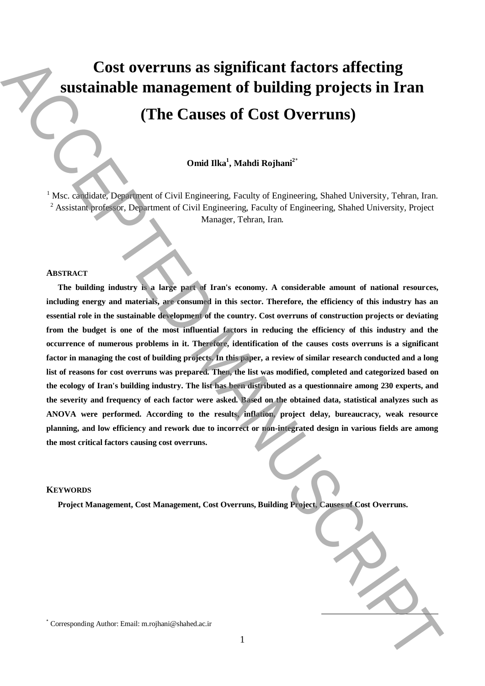# **Cost overruns as significant factors affecting sustainable management of building projects in Iran**

## **(The Causes of Cost Overruns)**

### **Omid Ilka<sup>1</sup> , Mahdi Rojhani<sup>2</sup>**\*

<sup>1</sup> Msc. candidate, Department of Civil Engineering, Faculty of Engineering, Shahed University, Tehran, Iran. <sup>2</sup> Assistant professor, Department of Civil Engineering, Faculty of Engineering, Shahed University, Project Manager, Tehran, Iran.

#### **ABSTRACT**

**The building industry is a large part of Iran's economy. A considerable amount of national resources, including energy and materials, are consumed in this sector. Therefore, the efficiency of this industry has an essential role in the sustainable development of the country. Cost overruns of construction projects or deviating from the budget is one of the most influential factors in reducing the efficiency of this industry and the occurrence of numerous problems in it. Therefore, identification of the causes costs overruns is a significant factor in managing the cost of building projects. In this paper, a review of similar research conducted and a long list of reasons for cost overruns was prepared. Then, the list was modified, completed and categorized based on the ecology of Iran's building industry. The list has been distributed as a questionnaire among 230 experts, and the severity and frequency of each factor were asked. Based on the obtained data, statistical analyzes such as ANOVA were performed. According to the results, inflation, project delay, bureaucracy, weak resource planning, and low efficiency and rework due to incorrect or non-integrated design in various fields are among the most critical factors causing cost overruns.** Cost overruns as significant factors affecting<br>
sustainable management of building projects in Iran<br>
(The Causes of Cost Overruns)<br>
(The Causes of Cost Overruns)<br>
(The Causes of Cost Overruns)<br>
(Note the specifical projec

#### **KEYWORDS**

**Project Management, Cost Management, Cost Overruns, Building Project, Causes of Cost Overruns.**

**.**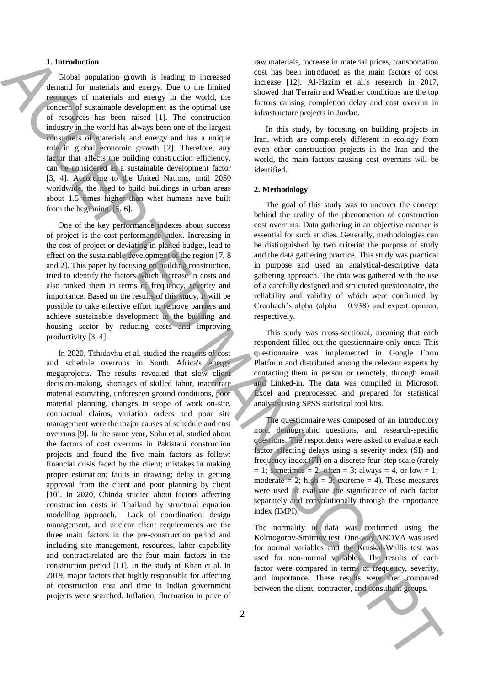#### **1. Introduction**

Global population growth is leading to increased demand for materials and energy. Due to the limited resources of materials and energy in the world, the concern of sustainable development as the optimal use of resources has been raised [1]. The construction industry in the world has always been one of the largest consumers of materials and energy and has a unique role in global economic growth [2]. Therefore, any factor that affects the building construction efficiency, can be considered as a sustainable development factor [3, 4]. According to the United Nations, until 2050 worldwide, the need to build buildings in urban areas about 1.5 times higher than what humans have built from the beginning. [5, 6].

One of the key performance indexes about success of project is the cost performance index. Increasing in the cost of project or deviating in planed budget, lead to effect on the sustainable development of the region [7, 8 and 2]. This paper by focusing on building construction, tried to identify the factors which increase in costs and also ranked them in terms of frequency, severity and importance. Based on the results of this study, it will be possible to take effective effort to remove barriers and achieve sustainable development in the building and housing sector by reducing costs and improving productivity [3, 4].

In 2020, Tshidavhu et al. studied the reasons of cost and schedule overruns in South Africa's energy megaprojects. The results revealed that slow client decision-making, shortages of skilled labor, inaccurate material estimating, unforeseen ground conditions, poor material planning, changes in scope of work on-site, contractual claims, variation orders and poor site management were the major causes of schedule and cost overruns [9]. In the same year, Sohu et al. studied about the factors of cost overruns in Pakistani construction projects and found the five main factors as follow: financial crisis faced by the client; mistakes in making proper estimation; faults in drawing; delay in getting approval from the client and poor planning by client [10]. In 2020, Chinda studied about factors affecting construction costs in Thailand by structural equation modelling approach. Lack of coordination, design management, and unclear client requirements are the three main factors in the pre-construction period and including site management, resources, labor capability and contract-related are the four main factors in the construction period [11]. In the study of Khan et al. In 2019, major factors that highly responsible for affecting of construction cost and time in Indian government projects were searched. Inflation, fluctuation in price of **1.** Interaction of the contract is contract in the contract in the client of the consultant groups of the contract in the contract in the contract in the consultant groups of the consultant groups of the consultant group

raw materials, increase in material prices, transportation cost has been introduced as the main factors of cost increase [12]. Al-Hazim et al.'s research in 2017, showed that Terrain and Weather conditions are the top factors causing completion delay and cost overrun in infrastructure projects in Jordan.

In this study, by focusing on building projects in Iran, which are completely different in ecology from even other construction projects in the Iran and the world, the main factors causing cost overruns will be identified.

#### **2. Methodology**

The goal of this study was to uncover the concept behind the reality of the phenomenon of construction cost overruns. Data gathering in an objective manner is essential for such studies. Generally, methodologies can be distinguished by two criteria: the purpose of study and the data gathering practice. This study was practical in purpose and used an analytical-descriptive data gathering approach. The data was gathered with the use of a carefully designed and structured questionnaire, the reliability and validity of which were confirmed by Cronbach's alpha (alpha =  $0.938$ ) and expert opinion, respectively.

This study was cross-sectional, meaning that each respondent filled out the questionnaire only once. This questionnaire was implemented in Google Form Platform and distributed among the relevant experts by contacting them in person or remotely, through email and Linked-in. The data was compiled in Microsoft Excel and preprocessed and prepared for statistical analysis using SPSS statistical tool kits.

The questionnaire was composed of an introductory note, demographic questions, and research-specific questions. The respondents were asked to evaluate each factor affecting delays using a severity index (SI) and frequency index (FI) on a discrete four-step scale (rarely  $= 1$ ; sometimes  $= 2$ ; often  $= 3$ ; always  $= 4$ , or low  $= 1$ ; moderate = 2; high = 3; extreme = 4). These measures were used to evaluate the significance of each factor separately and convolutionally through the importance index (IMPI).

The normality of data was confirmed using the Kolmogorov-Smirnov test. One-way ANOVA was used for normal variables and the Kruskal-Wallis test was used for non-normal variables. The results of each factor were compared in terms of frequency, severity, and importance. These results were then compared

2